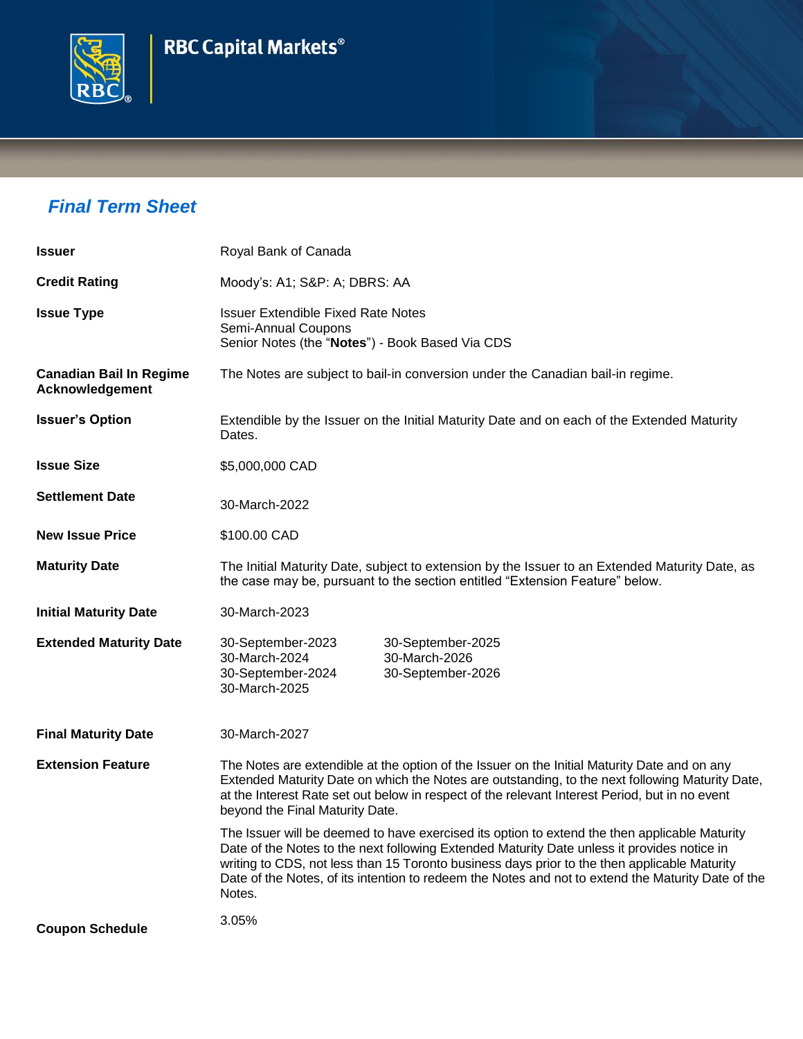



## *Final Term Sheet*

| <b>Issuer</b>                                     | Royal Bank of Canada                                                                                                                                                                                                                                                                                                                                                                                         |  |  |
|---------------------------------------------------|--------------------------------------------------------------------------------------------------------------------------------------------------------------------------------------------------------------------------------------------------------------------------------------------------------------------------------------------------------------------------------------------------------------|--|--|
| <b>Credit Rating</b>                              | Moody's: A1; S&P: A; DBRS: AA                                                                                                                                                                                                                                                                                                                                                                                |  |  |
| <b>Issue Type</b>                                 | <b>Issuer Extendible Fixed Rate Notes</b><br>Semi-Annual Coupons<br>Senior Notes (the "Notes") - Book Based Via CDS                                                                                                                                                                                                                                                                                          |  |  |
| <b>Canadian Bail In Regime</b><br>Acknowledgement | The Notes are subject to bail-in conversion under the Canadian bail-in regime.                                                                                                                                                                                                                                                                                                                               |  |  |
| <b>Issuer's Option</b>                            | Extendible by the Issuer on the Initial Maturity Date and on each of the Extended Maturity<br>Dates.                                                                                                                                                                                                                                                                                                         |  |  |
| <b>Issue Size</b>                                 | \$5,000,000 CAD                                                                                                                                                                                                                                                                                                                                                                                              |  |  |
| <b>Settlement Date</b>                            | 30-March-2022                                                                                                                                                                                                                                                                                                                                                                                                |  |  |
| <b>New Issue Price</b>                            | \$100.00 CAD                                                                                                                                                                                                                                                                                                                                                                                                 |  |  |
| <b>Maturity Date</b>                              | The Initial Maturity Date, subject to extension by the Issuer to an Extended Maturity Date, as<br>the case may be, pursuant to the section entitled "Extension Feature" below.                                                                                                                                                                                                                               |  |  |
| <b>Initial Maturity Date</b>                      | 30-March-2023                                                                                                                                                                                                                                                                                                                                                                                                |  |  |
| <b>Extended Maturity Date</b>                     | 30-September-2023<br>30-September-2025<br>30-March-2026<br>30-March-2024<br>30-September-2024<br>30-September-2026<br>30-March-2025                                                                                                                                                                                                                                                                          |  |  |
| <b>Final Maturity Date</b>                        | 30-March-2027                                                                                                                                                                                                                                                                                                                                                                                                |  |  |
| <b>Extension Feature</b>                          | The Notes are extendible at the option of the Issuer on the Initial Maturity Date and on any<br>Extended Maturity Date on which the Notes are outstanding, to the next following Maturity Date,<br>at the Interest Rate set out below in respect of the relevant Interest Period, but in no event<br>beyond the Final Maturity Date.                                                                         |  |  |
|                                                   | The Issuer will be deemed to have exercised its option to extend the then applicable Maturity<br>Date of the Notes to the next following Extended Maturity Date unless it provides notice in<br>writing to CDS, not less than 15 Toronto business days prior to the then applicable Maturity<br>Date of the Notes, of its intention to redeem the Notes and not to extend the Maturity Date of the<br>Notes. |  |  |
| <b>Coupon Schedule</b>                            | 3.05%                                                                                                                                                                                                                                                                                                                                                                                                        |  |  |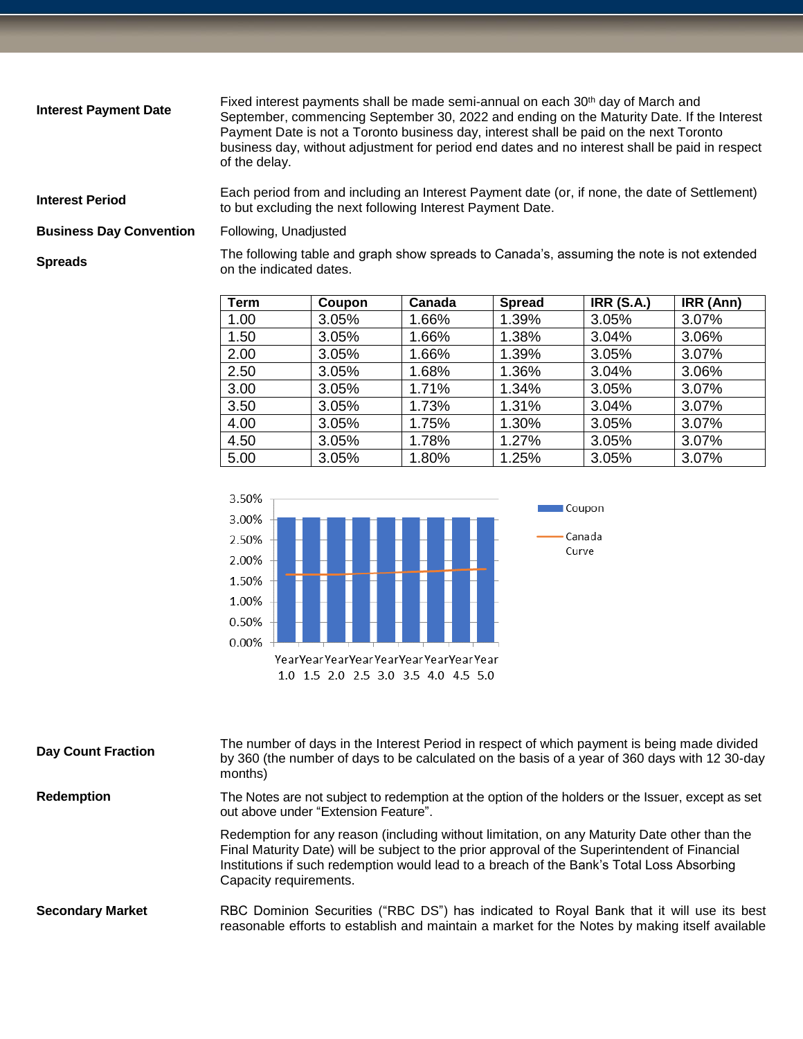| <b>Interest Payment Date</b>   | Fixed interest payments shall be made semi-annual on each 30 <sup>th</sup> day of March and<br>September, commencing September 30, 2022 and ending on the Maturity Date. If the Interest<br>Payment Date is not a Toronto business day, interest shall be paid on the next Toronto<br>business day, without adjustment for period end dates and no interest shall be paid in respect<br>of the delay. |
|--------------------------------|-------------------------------------------------------------------------------------------------------------------------------------------------------------------------------------------------------------------------------------------------------------------------------------------------------------------------------------------------------------------------------------------------------|
| <b>Interest Period</b>         | Each period from and including an Interest Payment date (or, if none, the date of Settlement)<br>to but excluding the next following Interest Payment Date.                                                                                                                                                                                                                                           |
| <b>Business Day Convention</b> | Following, Unadjusted                                                                                                                                                                                                                                                                                                                                                                                 |
| <b>Spreads</b>                 | The following table and graph show spreads to Canada's, assuming the note is not extended<br>on the indicated dates.                                                                                                                                                                                                                                                                                  |

| <b>Term</b> | Coupon | Canada | <b>Spread</b> | <b>IRR (S.A.)</b> | IRR (Ann) |
|-------------|--------|--------|---------------|-------------------|-----------|
| 1.00        | 3.05%  | 1.66%  | 1.39%         | 3.05%             | 3.07%     |
| 1.50        | 3.05%  | 1.66%  | 1.38%         | 3.04%             | 3.06%     |
| 2.00        | 3.05%  | 1.66%  | 1.39%         | 3.05%             | 3.07%     |
| 2.50        | 3.05%  | 1.68%  | 1.36%         | 3.04%             | 3.06%     |
| 3.00        | 3.05%  | 1.71%  | 1.34%         | 3.05%             | 3.07%     |
| 3.50        | 3.05%  | 1.73%  | 1.31%         | 3.04%             | 3.07%     |
| 4.00        | 3.05%  | 1.75%  | 1.30%         | 3.05%             | 3.07%     |
| 4.50        | 3.05%  | 1.78%  | 1.27%         | 3.05%             | 3.07%     |
| 5.00        | 3.05%  | 1.80%  | 1.25%         | 3.05%             | 3.07%     |



| <b>Day Count Fraction</b> | The number of days in the Interest Period in respect of which payment is being made divided<br>by 360 (the number of days to be calculated on the basis of a year of 360 days with 12 30-day<br>months)                                                                                                              |
|---------------------------|----------------------------------------------------------------------------------------------------------------------------------------------------------------------------------------------------------------------------------------------------------------------------------------------------------------------|
| <b>Redemption</b>         | The Notes are not subject to redemption at the option of the holders or the Issuer, except as set<br>out above under "Extension Feature".                                                                                                                                                                            |
|                           | Redemption for any reason (including without limitation, on any Maturity Date other than the<br>Final Maturity Date) will be subject to the prior approval of the Superintendent of Financial<br>Institutions if such redemption would lead to a breach of the Bank's Total Loss Absorbing<br>Capacity requirements. |
| <b>Secondary Market</b>   | RBC Dominion Securities ("RBC DS") has indicated to Royal Bank that it will use its best<br>reasonable efforts to establish and maintain a market for the Notes by making itself available                                                                                                                           |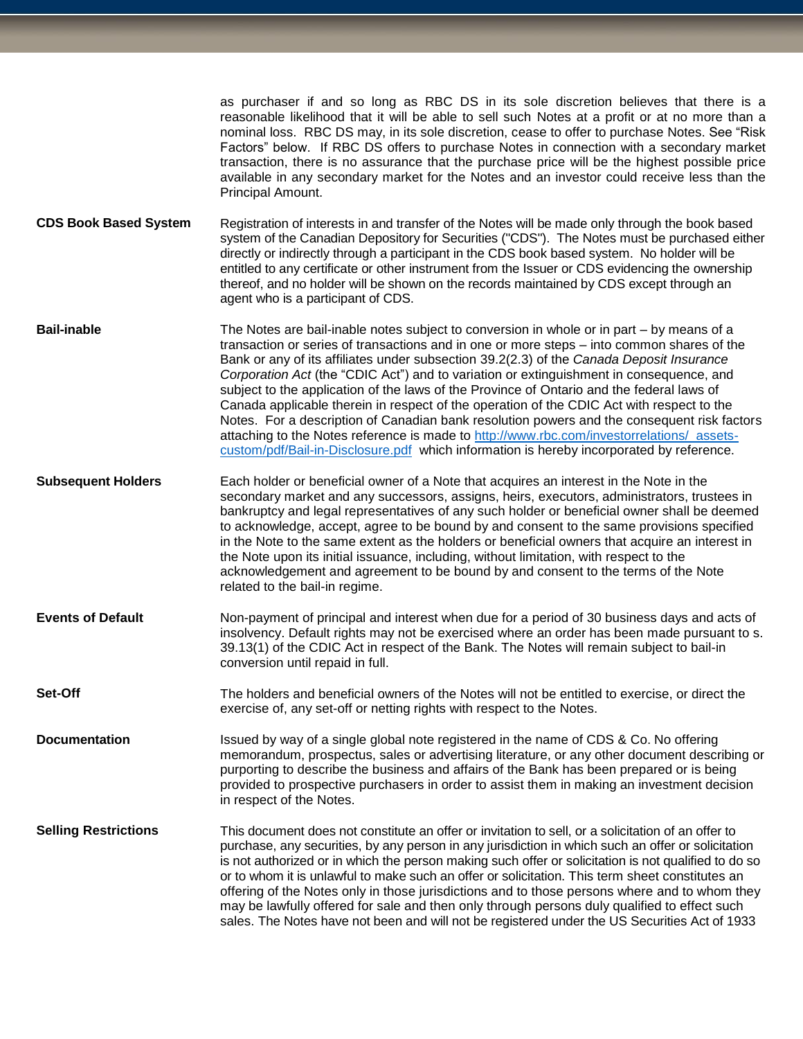as purchaser if and so long as RBC DS in its sole discretion believes that there is a reasonable likelihood that it will be able to sell such Notes at a profit or at no more than a nominal loss. RBC DS may, in its sole discretion, cease to offer to purchase Notes. See "Risk Factors" below. If RBC DS offers to purchase Notes in connection with a secondary market transaction, there is no assurance that the purchase price will be the highest possible price available in any secondary market for the Notes and an investor could receive less than the Principal Amount.

**CDS Book Based System** Registration of interests in and transfer of the Notes will be made only through the book based system of the Canadian Depository for Securities ("CDS"). The Notes must be purchased either directly or indirectly through a participant in the CDS book based system. No holder will be entitled to any certificate or other instrument from the Issuer or CDS evidencing the ownership thereof, and no holder will be shown on the records maintained by CDS except through an agent who is a participant of CDS.

**Bail-inable** The Notes are bail-inable notes subject to conversion in whole or in part – by means of a transaction or series of transactions and in one or more steps – into common shares of the Bank or any of its affiliates under subsection 39.2(2.3) of the *Canada Deposit Insurance Corporation Act* (the "CDIC Act") and to variation or extinguishment in consequence, and subject to the application of the laws of the Province of Ontario and the federal laws of Canada applicable therein in respect of the operation of the CDIC Act with respect to the Notes. For a description of Canadian bank resolution powers and the consequent risk factors attaching to the Notes reference is made to [http://www.rbc.com/investorrelations/\\_assets](http://www.rbc.com/investorrelations/_assets-custom/pdf/Bail-in-Disclosure.pdf)[custom/pdf/Bail-in-Disclosure.pdf](http://www.rbc.com/investorrelations/_assets-custom/pdf/Bail-in-Disclosure.pdf) which information is hereby incorporated by reference.

**Subsequent Holders** Each holder or beneficial owner of a Note that acquires an interest in the Note in the secondary market and any successors, assigns, heirs, executors, administrators, trustees in bankruptcy and legal representatives of any such holder or beneficial owner shall be deemed to acknowledge, accept, agree to be bound by and consent to the same provisions specified in the Note to the same extent as the holders or beneficial owners that acquire an interest in the Note upon its initial issuance, including, without limitation, with respect to the acknowledgement and agreement to be bound by and consent to the terms of the Note related to the bail-in regime.

**Events of Default** Non-payment of principal and interest when due for a period of 30 business days and acts of insolvency. Default rights may not be exercised where an order has been made pursuant to s. 39.13(1) of the CDIC Act in respect of the Bank. The Notes will remain subject to bail-in conversion until repaid in full.

**Set-Off** The holders and beneficial owners of the Notes will not be entitled to exercise, or direct the exercise of, any set-off or netting rights with respect to the Notes.

**Documentation** Issued by way of a single global note registered in the name of CDS & Co. No offering memorandum, prospectus, sales or advertising literature, or any other document describing or purporting to describe the business and affairs of the Bank has been prepared or is being provided to prospective purchasers in order to assist them in making an investment decision in respect of the Notes.

**Selling Restrictions** This document does not constitute an offer or invitation to sell, or a solicitation of an offer to purchase, any securities, by any person in any jurisdiction in which such an offer or solicitation is not authorized or in which the person making such offer or solicitation is not qualified to do so or to whom it is unlawful to make such an offer or solicitation. This term sheet constitutes an offering of the Notes only in those jurisdictions and to those persons where and to whom they may be lawfully offered for sale and then only through persons duly qualified to effect such sales. The Notes have not been and will not be registered under the US Securities Act of 1933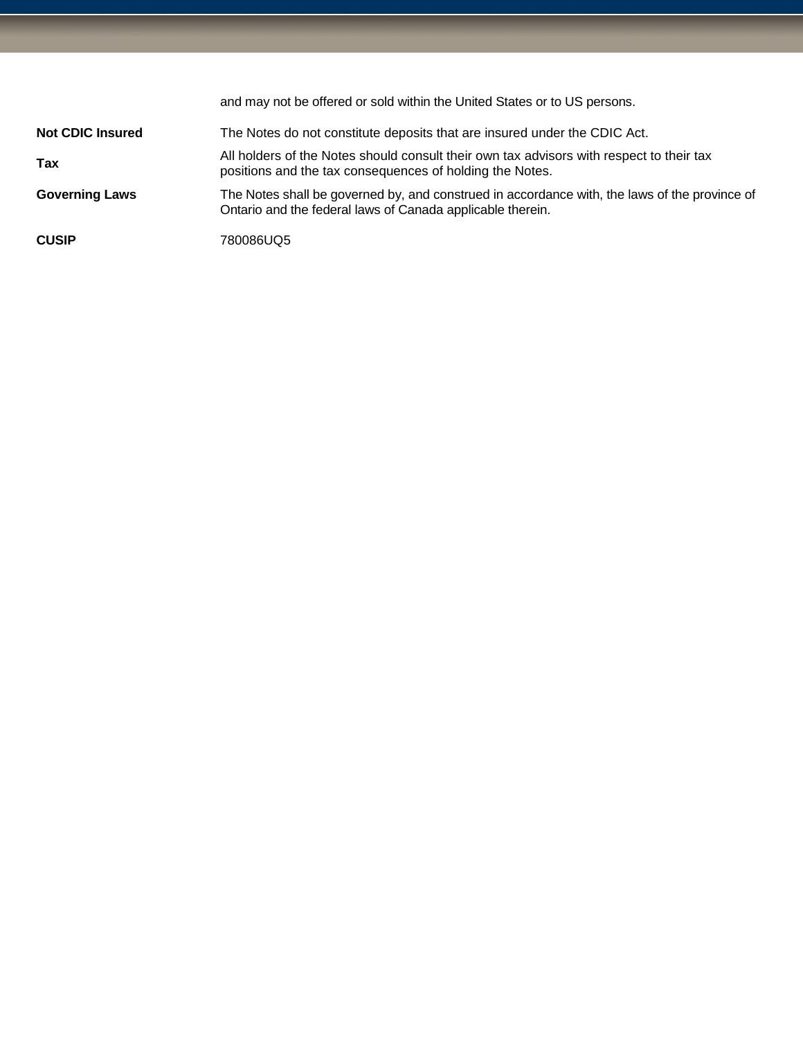|                         | and may not be offered or sold within the United States or to US persons.                                                                                   |
|-------------------------|-------------------------------------------------------------------------------------------------------------------------------------------------------------|
| <b>Not CDIC Insured</b> | The Notes do not constitute deposits that are insured under the CDIC Act.                                                                                   |
| Tax                     | All holders of the Notes should consult their own tax advisors with respect to their tax<br>positions and the tax consequences of holding the Notes.        |
| <b>Governing Laws</b>   | The Notes shall be governed by, and construed in accordance with, the laws of the province of<br>Ontario and the federal laws of Canada applicable therein. |
| <b>CUSIP</b>            | 780086UQ5                                                                                                                                                   |